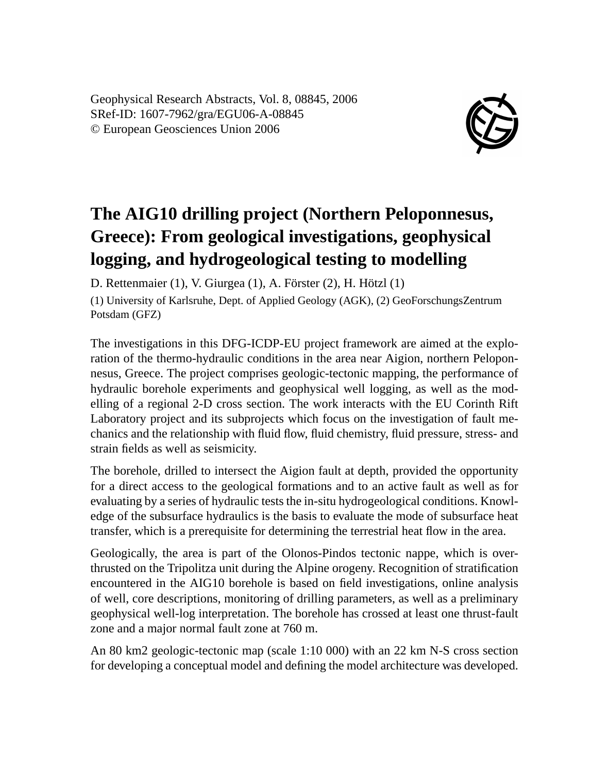Geophysical Research Abstracts, Vol. 8, 08845, 2006 SRef-ID: 1607-7962/gra/EGU06-A-08845 © European Geosciences Union 2006



## **The AIG10 drilling project (Northern Peloponnesus, Greece): From geological investigations, geophysical logging, and hydrogeological testing to modelling**

D. Rettenmaier (1), V. Giurgea (1), A. Förster (2), H. Hötzl (1)

(1) University of Karlsruhe, Dept. of Applied Geology (AGK), (2) GeoForschungsZentrum Potsdam (GFZ)

The investigations in this DFG-ICDP-EU project framework are aimed at the exploration of the thermo-hydraulic conditions in the area near Aigion, northern Peloponnesus, Greece. The project comprises geologic-tectonic mapping, the performance of hydraulic borehole experiments and geophysical well logging, as well as the modelling of a regional 2-D cross section. The work interacts with the EU Corinth Rift Laboratory project and its subprojects which focus on the investigation of fault mechanics and the relationship with fluid flow, fluid chemistry, fluid pressure, stress- and strain fields as well as seismicity.

The borehole, drilled to intersect the Aigion fault at depth, provided the opportunity for a direct access to the geological formations and to an active fault as well as for evaluating by a series of hydraulic tests the in-situ hydrogeological conditions. Knowledge of the subsurface hydraulics is the basis to evaluate the mode of subsurface heat transfer, which is a prerequisite for determining the terrestrial heat flow in the area.

Geologically, the area is part of the Olonos-Pindos tectonic nappe, which is overthrusted on the Tripolitza unit during the Alpine orogeny. Recognition of stratification encountered in the AIG10 borehole is based on field investigations, online analysis of well, core descriptions, monitoring of drilling parameters, as well as a preliminary geophysical well-log interpretation. The borehole has crossed at least one thrust-fault zone and a major normal fault zone at 760 m.

An 80 km2 geologic-tectonic map (scale 1:10 000) with an 22 km N-S cross section for developing a conceptual model and defining the model architecture was developed.